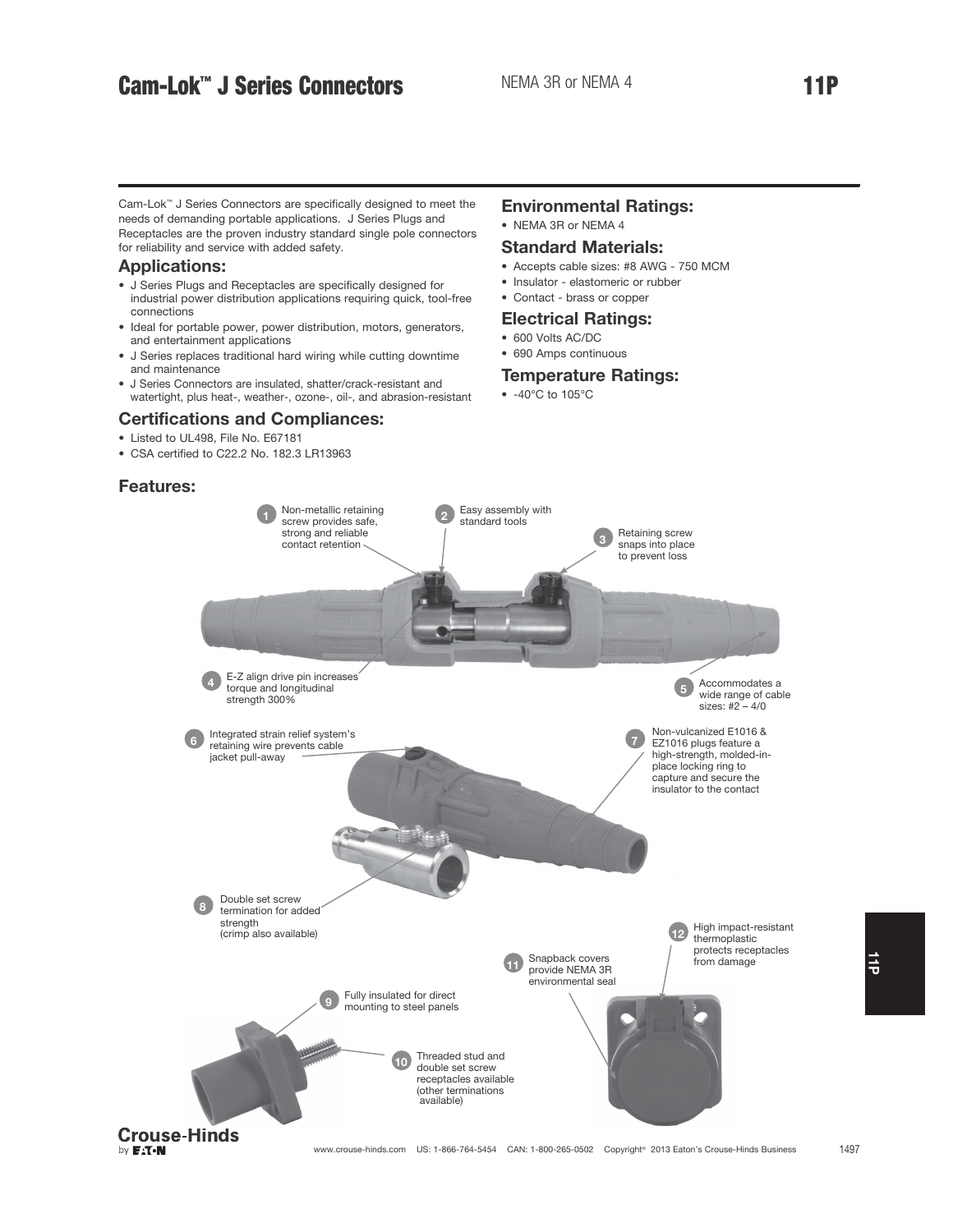## Cam-Lok<sup>™</sup> J Series Connectors NEMA 3R or NEMA 4 11P

Cam-Lok™ J Series Connectors are specifically designed to meet the needs of demanding portable applications. J Series Plugs and Receptacles are the proven industry standard single pole connectors for reliability and service with added safety.

## Applications:

- J Series Plugs and Receptacles are specifically designed for industrial power distribution applications requiring quick, tool-free connections
- Ideal for portable power, power distribution, motors, generators, and entertainment applications
- J Series replaces traditional hard wiring while cutting downtime and maintenance
- J Series Connectors are insulated, shatter/crack-resistant and watertight, plus heat-, weather-, ozone-, oil-, and abrasion-resistant

## Certifications and Compliances:

- Listed to UL498, File No. E67181
- CSA certified to C22.2 No. 182.3 LR13963

## Features:

### Environmental Ratings: • NEMA 3R or NEMA 4

- Standard Materials:
- Accepts cable sizes: #8 AWG 750 MCM
- Insulator elastomeric or rubber
- Contact brass or copper

## Electrical Ratings:

- 600 Volts AC/DC
- 690 Amps continuous

## Temperature Ratings:

• -40°C to 105°C



 $\frac{1}{9}$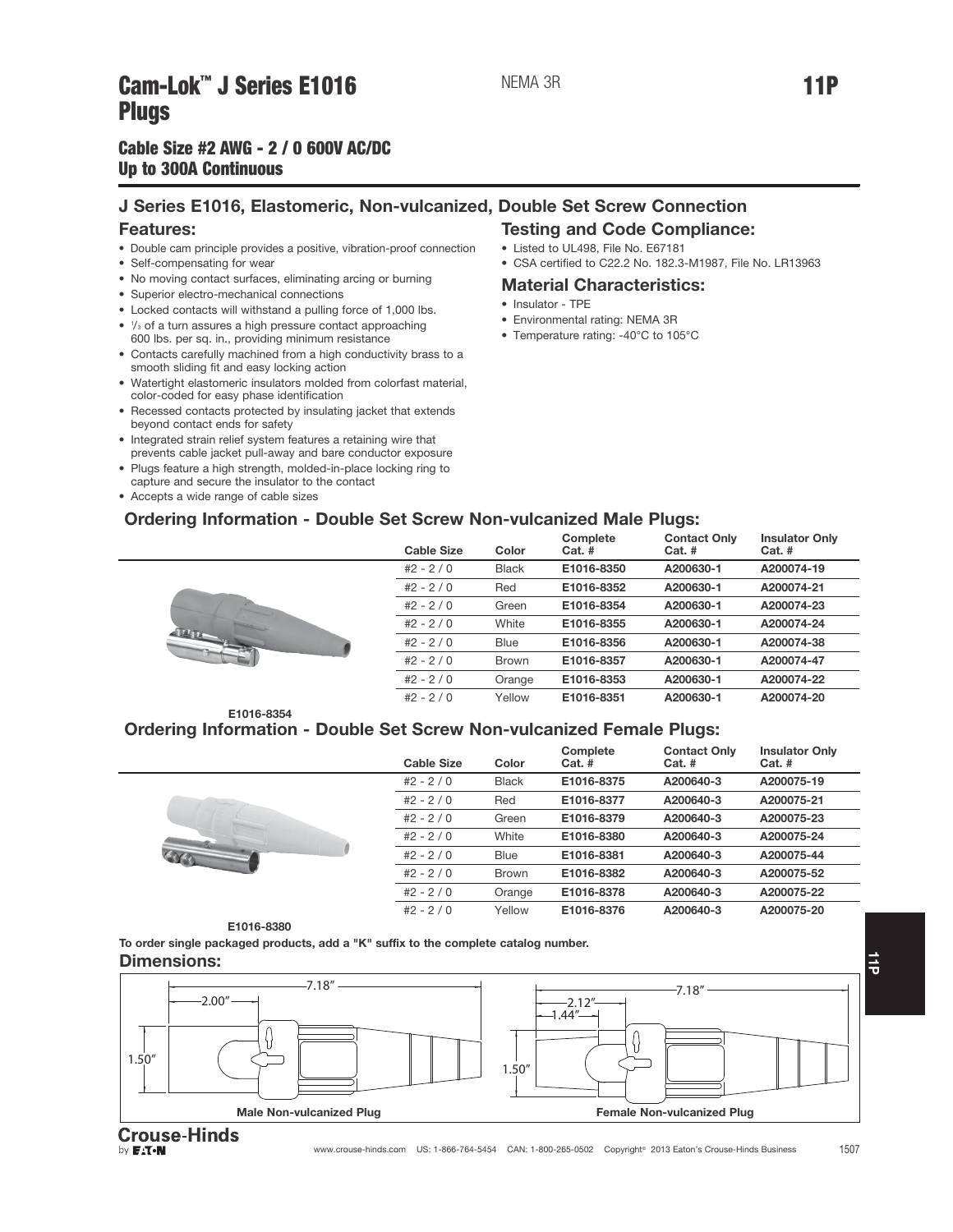## Cam-Lok J Series E1010 MEMASH MEMORIAL SERIES TIP<br>Pliias

## J Series E1016, Elastomeric, Non-vulcanized, Double Set Screw Connection Features:

- Double cam principle provides a positive, vibration-proof connection
- Self-compensating for wear
- No moving contact surfaces, eliminating arcing or burning
- Superior electro-mechanical connections
- Locked contacts will withstand a pulling force of 1,000 lbs.
- $\frac{1}{3}$  of a turn assures a high pressure contact approaching 600 lbs. per sq. in., providing minimum resistance
- Contacts carefully machined from a high conductivity brass to a smooth sliding fit and easy locking action
- Watertight elastomeric insulators molded from colorfast material, color-coded for easy phase identification
- Recessed contacts protected by insulating jacket that extends beyond contact ends for safety
- Integrated strain relief system features a retaining wire that prevents cable jacket pull-away and bare conductor exposure
- Plugs feature a high strength, molded-in-place locking ring to capture and secure the insulator to the contact
- Accepts a wide range of cable sizes

## Testing and Code Compliance:

- Listed to UL498, File No. E67181
- CSA certified to C22.2 No. 182.3-M1987, File No. LR13963

## Material Characteristics:

• Insulator - TPE

NEMA 3R

- Environmental rating: NEMA 3R
- Temperature rating: -40°C to 105°C

## Ordering Information - Double Set Screw Non-vulcanized Male Plugs:



| <b>Cable Size</b> | Color        | Complete<br>$Cat.$ # | <b>Contact Only</b><br>$Cat.$ # | <b>Insulator Only</b><br>$Cat.$ # |
|-------------------|--------------|----------------------|---------------------------------|-----------------------------------|
| $#2 - 2 / 0$      | <b>Black</b> | E1016-8350           | A200630-1                       | A200074-19                        |
| $#2 - 2 / 0$      | Red          | E1016-8352           | A200630-1                       | A200074-21                        |
| $#2 - 2 / 0$      | Green        | E1016-8354           | A200630-1                       | A200074-23                        |
| $#2 - 2 / 0$      | White        | E1016-8355           | A200630-1                       | A200074-24                        |
| $#2 - 2 / 0$      | Blue         | E1016-8356           | A200630-1                       | A200074-38                        |
| $#2 - 2 / 0$      | <b>Brown</b> | E1016-8357           | A200630-1                       | A200074-47                        |
| $#2 - 2 / 0$      | Orange       | E1016-8353           | A200630-1                       | A200074-22                        |
| $#2 - 2 / 0$      | Yellow       | E1016-8351           | A200630-1                       | A200074-20                        |

#### E1016-8354 Ordering Information - Double Set Screw Non-vulcanized Female Plugs:

| <b>Cable Size</b> | Color        | Complete<br>$Cat.$ # | <b>Contact Only</b><br>$Cat.$ # | <b>Insulator Only</b><br>$Cat.$ # |
|-------------------|--------------|----------------------|---------------------------------|-----------------------------------|
| $#2 - 2 / 0$      | <b>Black</b> | E1016-8375           | A200640-3                       | A200075-19                        |
| $#2 - 2 / 0$      | Red          | E1016-8377           | A200640-3                       | A200075-21                        |
| $#2 - 2 / 0$      | Green        | E1016-8379           | A200640-3                       | A200075-23                        |
| $#2 - 2 / 0$      | White        | E1016-8380           | A200640-3                       | A200075-24                        |
| $#2 - 2 / 0$      | <b>Blue</b>  | E1016-8381           | A200640-3                       | A200075-44                        |
| $#2 - 2/0$        | <b>Brown</b> | E1016-8382           | A200640-3                       | A200075-52                        |
| $#2 - 2 / 0$      | Orange       | E1016-8378           | A200640-3                       | A200075-22                        |
| $#2 - 2 / 0$      | Yellow       | E1016-8376           | A200640-3                       | A200075-20                        |



To order single packaged products, add a "K" suffix to the complete catalog number.

#### Dimensions:



by **EAT.N**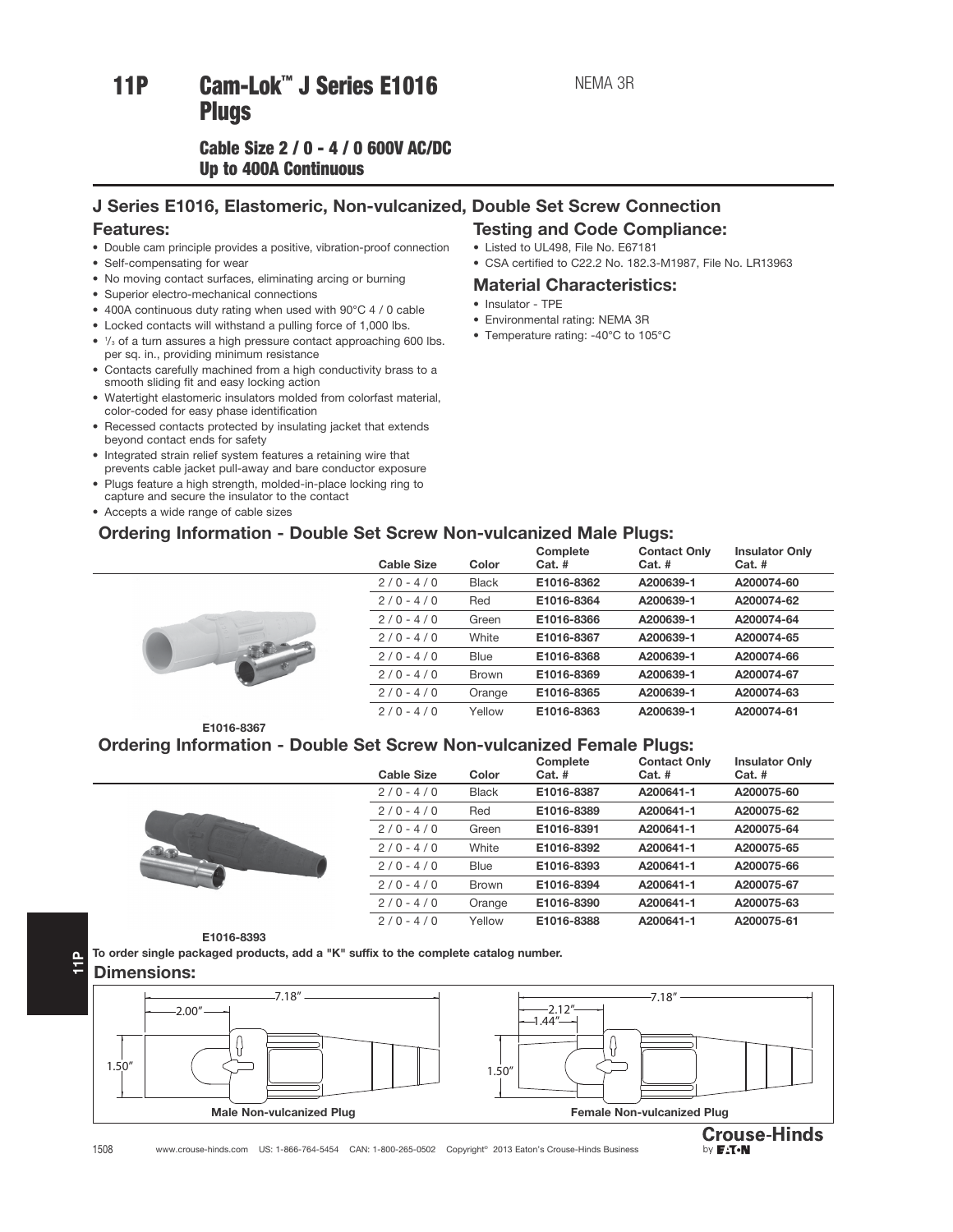# 11P Cam-Lok™ J Series E1016

## Cable Size  $2/0 - 4/0$  600V AC/DC Up to 400A Continuous Up to 400A Continuous

## J Series E1016, Elastomeric, Non-vulcanized, Double Set Screw Connection

## Features:

- Double cam principle provides a positive, vibration-proof connection
- Self-compensating for wear
- No moving contact surfaces, eliminating arcing or burning
- Superior electro-mechanical connections
- 400A continuous duty rating when used with 90°C 4 / 0 cable
- Locked contacts will withstand a pulling force of 1,000 lbs.
- $\frac{1}{3}$  of a turn assures a high pressure contact approaching 600 lbs. per sq. in., providing minimum resistance
- Contacts carefully machined from a high conductivity brass to a smooth sliding fit and easy locking action
- Watertight elastomeric insulators molded from colorfast material, color-coded for easy phase identification
- Recessed contacts protected by insulating jacket that extends beyond contact ends for safety
- Integrated strain relief system features a retaining wire that prevents cable jacket pull-away and bare conductor exposure
- Plugs feature a high strength, molded-in-place locking ring to
- capture and secure the insulator to the contact • Accepts a wide range of cable sizes

## Ordering Information - Double Set Screw Non-vulcanized Male Plugs:

## Testing and Code Compliance:

- Listed to UL498, File No. E67181
- CSA certified to C22.2 No. 182.3-M1987, File No. LR13963

## Material Characteristics:

- Insulator TPE
- Environmental rating: NEMA 3R
- Temperature rating: -40°C to 105°C

|  | <b>Cable Size</b> | Color        | Complete<br>$Cat.$ # | <b>Contact Only</b><br>$Cat.$ # | <b>Insulator Only</b><br>$Cat.$ # |
|--|-------------------|--------------|----------------------|---------------------------------|-----------------------------------|
|  | $2/0 - 4/0$       | <b>Black</b> | E1016-8362           | A200639-1                       | A200074-60                        |
|  | $2/0 - 4/0$       | Red          | E1016-8364           | A200639-1                       | A200074-62                        |
|  | $2/0 - 4/0$       | Green        | E1016-8366           | A200639-1                       | A200074-64                        |
|  | $2/0 - 4/0$       | White        | E1016-8367           | A200639-1                       | A200074-65                        |
|  | $2/0 - 4/0$       | <b>Blue</b>  | E1016-8368           | A200639-1                       | A200074-66                        |
|  | $2/0 - 4/0$       | <b>Brown</b> | E1016-8369           | A200639-1                       | A200074-67                        |
|  | $2/0 - 4/0$       | Orange       | E1016-8365           | A200639-1                       | A200074-63                        |
|  | $2/0 - 4/0$       | Yellow       | E1016-8363           | A200639-1                       | A200074-61                        |
|  |                   |              |                      |                                 |                                   |

E1016-8367

## Ordering Information - Double Set Screw Non-vulcanized Female Plugs:

|          | <b>Cable Size</b> | Color        | Complete<br>$Cat.$ # | <b>Contact Only</b><br>$Cat.$ # | <b>Insulator Only</b><br>$Cat.$ # |
|----------|-------------------|--------------|----------------------|---------------------------------|-----------------------------------|
|          | $2/0 - 4/0$       | <b>Black</b> | E1016-8387           | A200641-1                       | A200075-60                        |
|          | $2/0 - 4/0$       | Red          | E1016-8389           | A200641-1                       | A200075-62                        |
|          | $2/0 - 4/0$       | Green        | E1016-8391           | A200641-1                       | A200075-64                        |
| <b>D</b> | $2/0 - 4/0$       | White        | E1016-8392           | A200641-1                       | A200075-65                        |
|          | $2/0 - 4/0$       | Blue         | E1016-8393           | A200641-1                       | A200075-66                        |
|          | $2/0 - 4/0$       | <b>Brown</b> | E1016-8394           | A200641-1                       | A200075-67                        |
|          | $2/0 - 4/0$       | Orange       | E1016-8390           | A200641-1                       | A200075-63                        |
|          | $2/0 - 4/0$       | Yellow       | E1016-8388           | A200641-1                       | A200075-61                        |

E1016-8393

To order single packaged products, add a "K" suffix to the complete catalog number.

Dimensions:

11P





1508 www.crouse-hinds.com US: 1-866-764-5454 CAN: 1-800-265-0502 Copyright© 2013 Eaton's Crouse-Hinds Business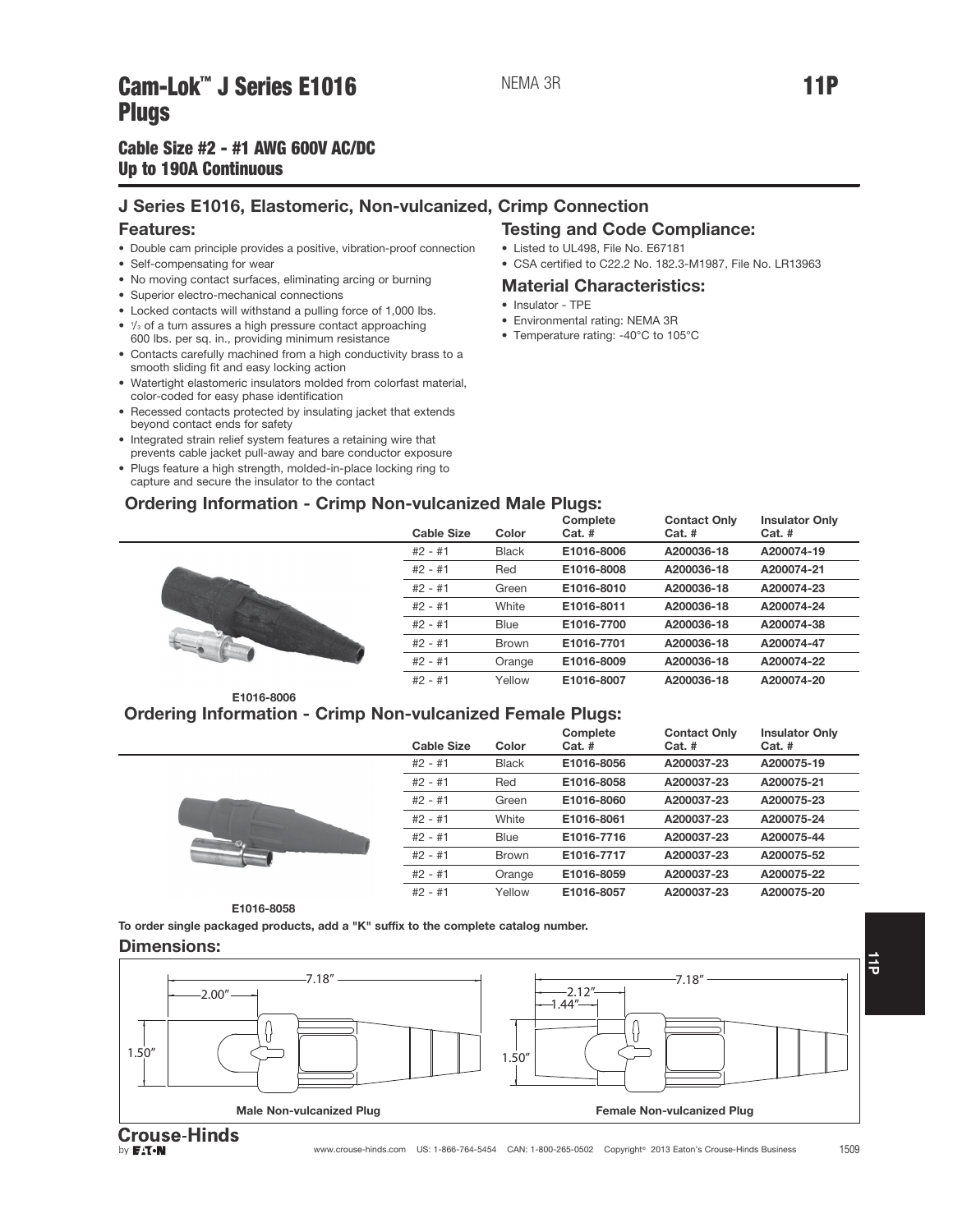## Cam-Lok J Series E1010 Members Present Campus Primer Primer Primer Primer<br>Plings **Plugs<br>Cable Size #2 - #1 AWG 600V AC/DC**

## Up to 190A Continuous Up to 190A Continuous

## J Series E1016, Elastomeric, Non-vulcanized, Crimp Connection

## Features:

- Double cam principle provides a positive, vibration-proof connection
- Self-compensating for wear
- No moving contact surfaces, eliminating arcing or burning
- Superior electro-mechanical connections
- Locked contacts will withstand a pulling force of 1,000 lbs.
- $\frac{1}{3}$  of a turn assures a high pressure contact approaching 600 lbs. per sq. in., providing minimum resistance
- Contacts carefully machined from a high conductivity brass to a smooth sliding fit and easy locking action
- Watertight elastomeric insulators molded from colorfast material, color-coded for easy phase identification
- Recessed contacts protected by insulating jacket that extends beyond contact ends for safety
- Integrated strain relief system features a retaining wire that prevents cable jacket pull-away and bare conductor exposure
- Plugs feature a high strength, molded-in-place locking ring to capture and secure the insulator to the contact

### Ordering Information - Crimp Non-vulcanized Male Plugs: Complete



| Color        | Cat. #     | $Cat.$ #   | $Cat.$ #   |
|--------------|------------|------------|------------|
| <b>Black</b> | E1016-8006 | A200036-18 | A200074-19 |
| Red          | E1016-8008 | A200036-18 | A200074-21 |
| Green        | E1016-8010 | A200036-18 | A200074-23 |
| White        | E1016-8011 | A200036-18 | A200074-24 |
| Blue         | E1016-7700 | A200036-18 | A200074-38 |
| Brown        | E1016-7701 | A200036-18 | A200074-47 |
| Orange       | E1016-8009 | A200036-18 | A200074-22 |
| Yellow       | E1016-8007 | A200036-18 | A200074-20 |
|              |            |            |            |

Contact Only

Insulator Only

Testing and Code Compliance:

• CSA certified to C22.2 No. 182.3-M1987, File No. LR13963

• Listed to UL498, File No. E67181

• Environmental rating: NEMA 3R • Temperature rating: -40°C to 105°C

• Insulator - TPE

Material Characteristics:

E1016-8006

## Ordering Information - Crimp Non-vulcanized Female Plugs:

|     | <b>Cable Size</b> | Color        | Complete<br>$Cat.$ # | <b>Contact Only</b><br>$Cat.$ # | <b>Insulator Only</b><br>$Cat.$ # |
|-----|-------------------|--------------|----------------------|---------------------------------|-----------------------------------|
|     | $#2 - #1$         | <b>Black</b> | E1016-8056           | A200037-23                      | A200075-19                        |
|     | $#2 - #1$         | Red          | E1016-8058           | A200037-23                      | A200075-21                        |
|     | $#2 - #1$         | Green        | E1016-8060           | A200037-23                      | A200075-23                        |
|     | $#2 - #1$         | White        | E1016-8061           | A200037-23                      | A200075-24                        |
| 634 | $#2 - #1$         | Blue         | E1016-7716           | A200037-23                      | A200075-44                        |
|     | $#2 - #1$         | <b>Brown</b> | E1016-7717           | A200037-23                      | A200075-52                        |
|     | $#2 - #1$         | Orange       | E1016-8059           | A200037-23                      | A200075-22                        |
|     | $#2 - #1$         | Yellow       | E1016-8057           | A200037-23                      | A200075-20                        |

Cable Size Color

E1016-8058

To order single packaged products, add a "K" suffix to the complete catalog number.

## Dimensions:



 $\frac{1}{9}$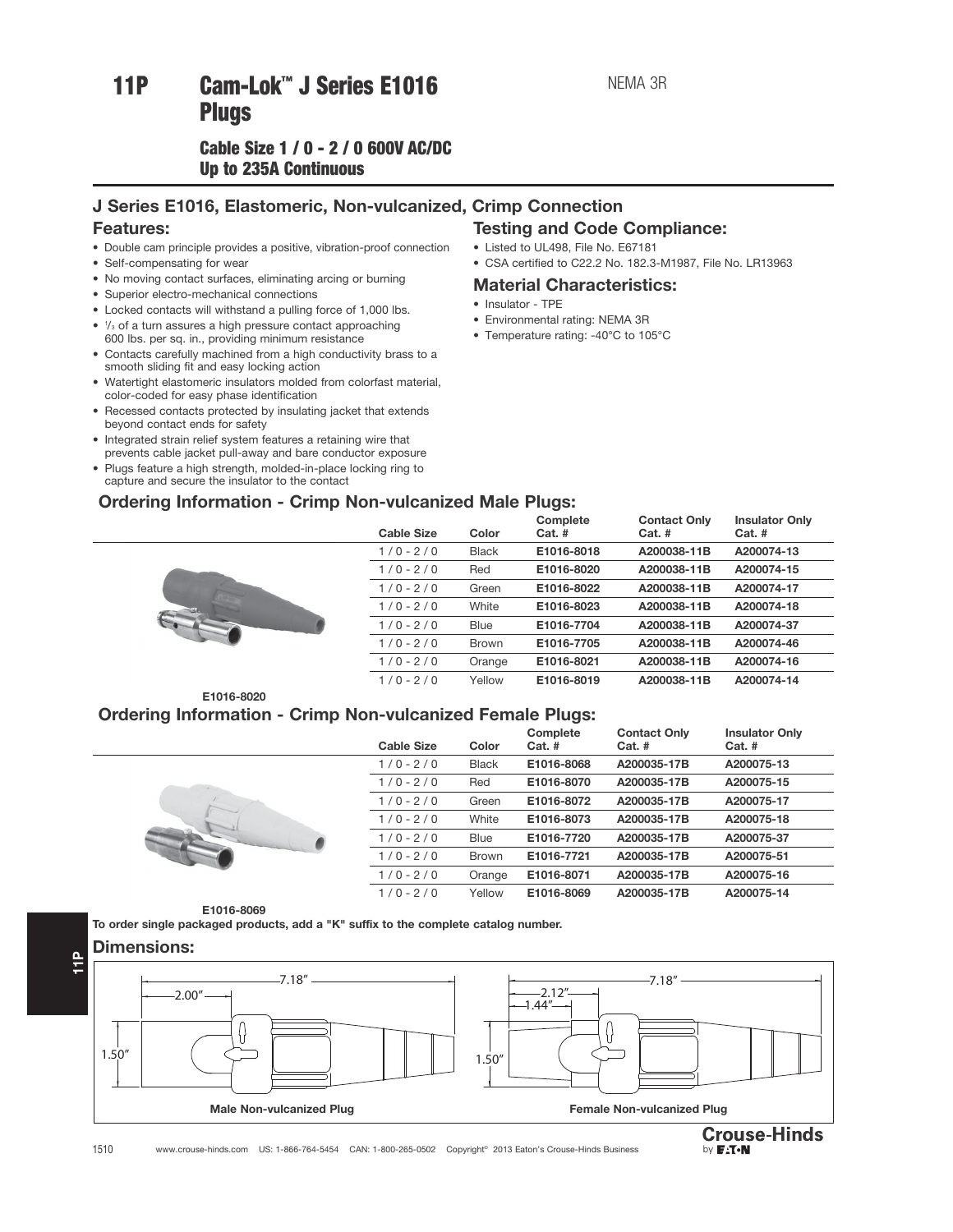## Cable Size 1 / 0 - 2 / 0 600V AC/DC Up to 235A Continuous Up to 235A Continuous

## J Series E1016, Elastomeric, Non-vulcanized, Crimp Connection

## Features:

- Double cam principle provides a positive, vibration-proof connection
- Self-compensating for wear
- No moving contact surfaces, eliminating arcing or burning
- Superior electro-mechanical connections
- Locked contacts will withstand a pulling force of 1,000 lbs.
- $\frac{1}{3}$  of a turn assures a high pressure contact approaching 600 lbs. per sq. in., providing minimum resistance
- Contacts carefully machined from a high conductivity brass to a smooth sliding fit and easy locking action
- Watertight elastomeric insulators molded from colorfast material, color-coded for easy phase identification
- Recessed contacts protected by insulating jacket that extends beyond contact ends for safety
- Integrated strain relief system features a retaining wire that prevents cable jacket pull-away and bare conductor exposure
- Plugs feature a high strength, molded-in-place locking ring to capture and secure the insulator to the contact

## Ordering Information - Crimp Non-vulcanized Male Plugs:

## Testing and Code Compliance:

- Listed to UL498, File No. E67181
- CSA certified to C22.2 No. 182.3-M1987, File No. LR13963

## Material Characteristics:

- Insulator TPE
- Environmental rating: NEMA 3R
- Temperature rating: -40°C to 105°C

| - |                   |              |                      |                                 |                                   |  |
|---|-------------------|--------------|----------------------|---------------------------------|-----------------------------------|--|
|   | <b>Cable Size</b> | Color        | Complete<br>$Cat.$ # | <b>Contact Only</b><br>$Cat.$ # | <b>Insulator Only</b><br>$Cat.$ # |  |
|   | $1/0 - 2/0$       | <b>Black</b> | E1016-8018           | A200038-11B                     | A200074-13                        |  |
|   | $1/0 - 2/0$       | Red          | E1016-8020           | A200038-11B                     | A200074-15                        |  |
|   | $1/0 - 2/0$       | Green        | E1016-8022           | A200038-11B                     | A200074-17                        |  |
|   | $1/0 - 2/0$       | White        | E1016-8023           | A200038-11B                     | A200074-18                        |  |
|   | $1/0 - 2/0$       | <b>Blue</b>  | E1016-7704           | A200038-11B                     | A200074-37                        |  |
|   | $1/0 - 2/0$       | <b>Brown</b> | E1016-7705           | A200038-11B                     | A200074-46                        |  |
|   | $1/0 - 2/0$       | Orange       | E1016-8021           | A200038-11B                     | A200074-16                        |  |
|   | $1/0 - 2/0$       | Yellow       | E1016-8019           | A200038-11B                     | A200074-14                        |  |
|   |                   |              |                      |                                 |                                   |  |

## E1016-8020

## Ordering Information - Crimp Non-vulcanized Female Plugs:

|  | <b>Cable Size</b> | Color        | Complete<br>$Cat.$ # | <b>Contact Only</b><br>$Cat.$ # | <b>Insulator Only</b><br>$Cat.$ # |
|--|-------------------|--------------|----------------------|---------------------------------|-----------------------------------|
|  | $1/0 - 2/0$       | <b>Black</b> | E1016-8068           | A200035-17B                     | A200075-13                        |
|  | $1/0 - 2/0$       | Red          | E1016-8070           | A200035-17B                     | A200075-15                        |
|  | $1/0 - 2/0$       | Green        | E1016-8072           | A200035-17B                     | A200075-17                        |
|  | $1/0 - 2/0$       | White        | E1016-8073           | A200035-17B                     | A200075-18                        |
|  | $1/0 - 2/0$       | Blue         | E1016-7720           | A200035-17B                     | A200075-37                        |
|  | $1/0 - 2/0$       | <b>Brown</b> | E1016-7721           | A200035-17B                     | A200075-51                        |
|  | $1/0 - 2/0$       | Orange       | E1016-8071           | A200035-17B                     | A200075-16                        |
|  | $1/0 - 2/0$       | Yellow       | E1016-8069           | A200035-17B                     | A200075-14                        |

E1016-8069

To order single packaged products, add a "K" suffix to the complete catalog number.



**Crouse-Hinds** by **F.T.N**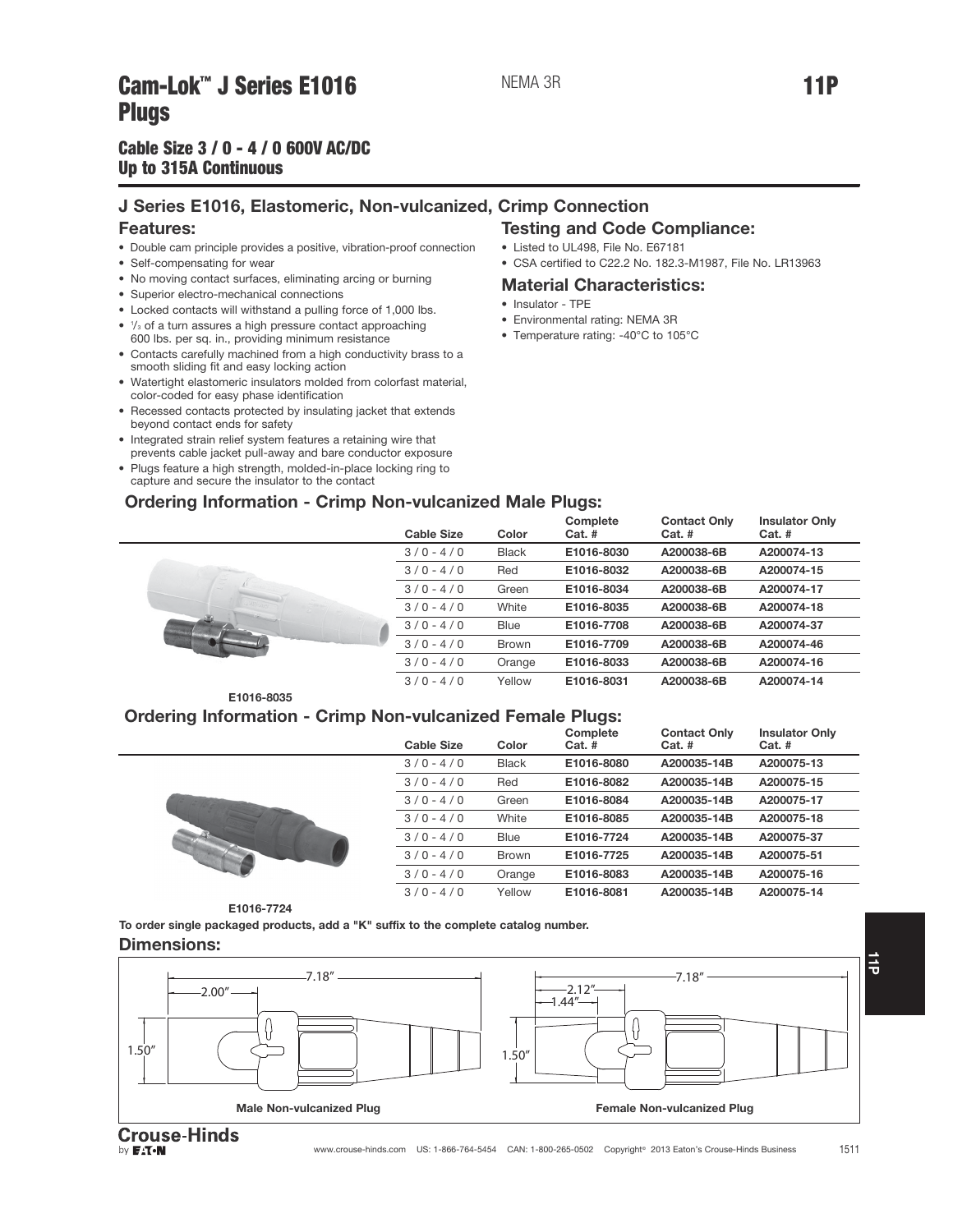# Cam-Lok J Series E1010 Members Present Campus III The Time of The Time of Time of Time of Time of Time of Time<br>Plings

## Cable Size  $3/0 - 4/0$  600V AC/DC Up to 315A Continuous Up to 315A Continuous

## J Series E1016, Elastomeric, Non-vulcanized, Crimp Connection

## Features:

- Double cam principle provides a positive, vibration-proof connection
- Self-compensating for wear
- No moving contact surfaces, eliminating arcing or burning
- Superior electro-mechanical connections
- Locked contacts will withstand a pulling force of 1,000 lbs.
- $\frac{1}{3}$  of a turn assures a high pressure contact approaching 600 lbs. per sq. in., providing minimum resistance
- Contacts carefully machined from a high conductivity brass to a smooth sliding fit and easy locking action
- Watertight elastomeric insulators molded from colorfast material, color-coded for easy phase identification
- Recessed contacts protected by insulating jacket that extends beyond contact ends for safety
- Integrated strain relief system features a retaining wire that prevents cable jacket pull-away and bare conductor exposure
- Plugs feature a high strength, molded-in-place locking ring to capture and secure the insulator to the contact

## Testing and Code Compliance:

- Listed to UL498, File No. E67181
- CSA certified to C22.2 No. 182.3-M1987, File No. LR13963

## Material Characteristics:

- Insulator TPE
- Environmental rating: NEMA 3R
- Temperature rating: -40°C to 105°C

Cable Size Color Complete Cat. # Contact Only Cat. # Insulator Only Cat. # 3 / 0 - 4 / 0 Black E1016-8030 A200038-6B A200074-13 3 / 0 - 4 / 0 Red E1016-8032 A200038-6B A200074-15 3 / 0 - 4 / 0 Green E1016-8034 A200038-6B A200074-17 3 / 0 - 4 / 0 White E1016-8035 A200038-6B A200074-18 3 / 0 - 4 / 0 Blue E1016-7708 A200038-6B A200074-37 3 / 0 - 4 / 0 Brown E1016-7709 A200038-6B A200074-46 3 / 0 - 4 / 0 Orange E1016-8033 A200038-6B A200074-16 3 / 0 - 4 / 0 Yellow E1016-8031 A200038-6B A200074-14



## Ordering Information - Crimp Non-vulcanized Female Plugs:

Ordering Information - Crimp Non-vulcanized Male Plugs:

| <b>Cable Size</b> | Color        | Complete<br>$Cat.$ # | <b>Contact Only</b><br>$Cat.$ # | <b>Insulator Only</b><br>$Cat.$ # |
|-------------------|--------------|----------------------|---------------------------------|-----------------------------------|
| $3/0 - 4/0$       | <b>Black</b> | E1016-8080           | A200035-14B                     | A200075-13                        |
| $3/0 - 4/0$       | Red          | E1016-8082           | A200035-14B                     | A200075-15                        |
| $3/0 - 4/0$       | Green        | E1016-8084           | A200035-14B                     | A200075-17                        |
| $3/0 - 4/0$       | White        | E1016-8085           | A200035-14B                     | A200075-18                        |
| $3/0 - 4/0$       | <b>Blue</b>  | E1016-7724           | A200035-14B                     | A200075-37                        |
| $3/0 - 4/0$       | <b>Brown</b> | E1016-7725           | A200035-14B                     | A200075-51                        |
| $3/0 - 4/0$       | Orange       | E1016-8083           | A200035-14B                     | A200075-16                        |
| $3/0 - 4/0$       | Yellow       | E1016-8081           | A200035-14B                     | A200075-14                        |

E1016-7724

To order single packaged products, add a "K" suffix to the complete catalog number.

## Dimensions:

by **F:T**.N



 $\frac{1}{9}$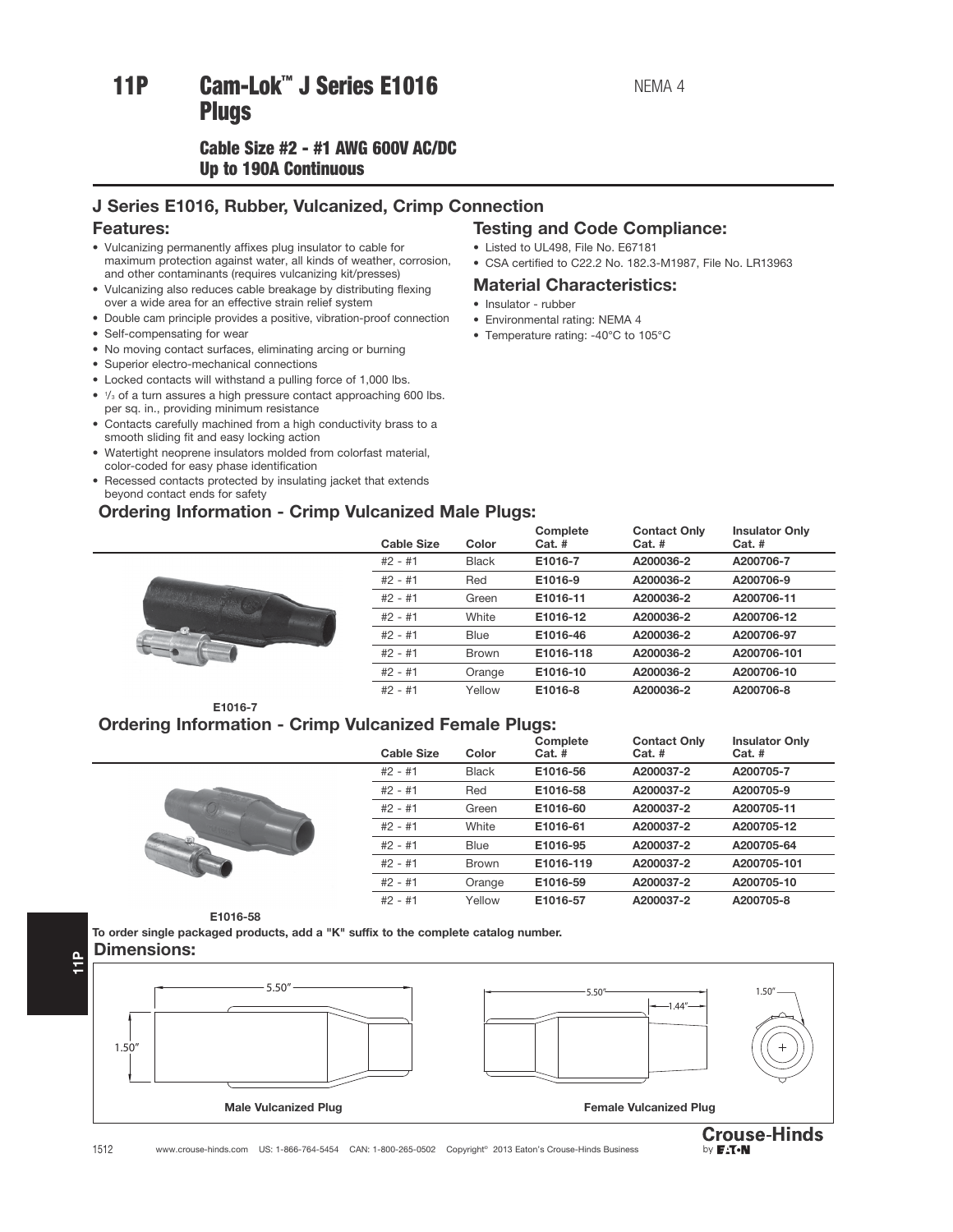# 11P Cam-Lok™ J Series E1016

## Cable Size #2 - #1 AWG 600V AC/DC Up to 190A Continuous Up to 190A Continuous

## J Series E1016, Rubber, Vulcanized, Crimp Connection

## Features:

- Vulcanizing permanently affixes plug insulator to cable for maximum protection against water, all kinds of weather, corrosion, and other contaminants (requires vulcanizing kit/presses)
- Vulcanizing also reduces cable breakage by distributing flexing over a wide area for an effective strain relief system
- Double cam principle provides a positive, vibration-proof connection
- Self-compensating for wear
- No moving contact surfaces, eliminating arcing or burning
- Superior electro-mechanical connections
- Locked contacts will withstand a pulling force of 1,000 lbs.
- $\frac{1}{3}$  of a turn assures a high pressure contact approaching 600 lbs. per sq. in., providing minimum resistance
- Contacts carefully machined from a high conductivity brass to a smooth sliding fit and easy locking action
- Watertight neoprene insulators molded from colorfast material, color-coded for easy phase identification
- Recessed contacts protected by insulating jacket that extends beyond contact ends for safety

## Ordering Information - Crimp Vulcanized Male Plugs:



|  | <b>Testing and Code Compliance:</b> |
|--|-------------------------------------|
|  |                                     |

- Listed to UL498, File No. E67181
- CSA certified to C22.2 No. 182.3-M1987, File No. LR13963

## Material Characteristics:

• Insulator - rubber

- Environmental rating: NEMA 4
- Temperature rating: -40°C to 105°C

| <b>Cable Size</b>                | Color        | Complete<br>$Cat.$ # | <b>Contact Only</b><br>$Cat.$ # | <b>Insulator Only</b><br>$Cat.$ # |
|----------------------------------|--------------|----------------------|---------------------------------|-----------------------------------|
| $#2 - #1$                        | <b>Black</b> | E1016-7              | A200036-2                       | A200706-7                         |
| $#2 - #1$                        | Red          | E1016-9              | A200036-2                       | A200706-9                         |
| $#2 - #1$                        | Green        | E1016-11             | A200036-2                       | A200706-11                        |
| $#2 - #1$                        | White        | E1016-12             | A200036-2                       | A200706-12                        |
| $#2 - #1$<br><b>Constitution</b> | Blue         | E1016-46             | A200036-2                       | A200706-97                        |
| $#2 - #1$                        | <b>Brown</b> | E1016-118            | A200036-2                       | A200706-101                       |
| $#2 - #1$                        | Orange       | E1016-10             | A200036-2                       | A200706-10                        |
| $#2 - #1$                        | Yellow       | E1016-8              | A200036-2                       | A200706-8                         |

E1016-7

## Ordering Information - Crimp Vulcanized Female Plugs:



| <b>Cable Size</b> | Color        | $Cat.$ #  | $Cat.$ #  | $Cat.$ #    |
|-------------------|--------------|-----------|-----------|-------------|
| $#2 - #1$         | <b>Black</b> | E1016-56  | A200037-2 | A200705-7   |
| $#2 - #1$         | Red          | E1016-58  | A200037-2 | A200705-9   |
| $#2 - #1$         | Green        | E1016-60  | A200037-2 | A200705-11  |
| $#2 - #1$         | White        | E1016-61  | A200037-2 | A200705-12  |
| $#2 - #1$         | Blue         | E1016-95  | A200037-2 | A200705-64  |
| $#2 - #1$         | <b>Brown</b> | E1016-119 | A200037-2 | A200705-101 |
| $#2 - #1$         | Orange       | E1016-59  | A200037-2 | A200705-10  |
| $#2 - #1$         | Yellow       | E1016-57  | A200037-2 | A200705-8   |
|                   |              |           |           |             |

Contact Only

Complete

### E1016-58

To order single packaged products, add a "K" suffix to the complete catalog number. Dimensions:





Insulator Only

1512 www.crouse-hinds.com US: 1-866-764-5454 CAN: 1-800-265-0502 Copyright© 2013 Eaton's Crouse-Hinds Business

11P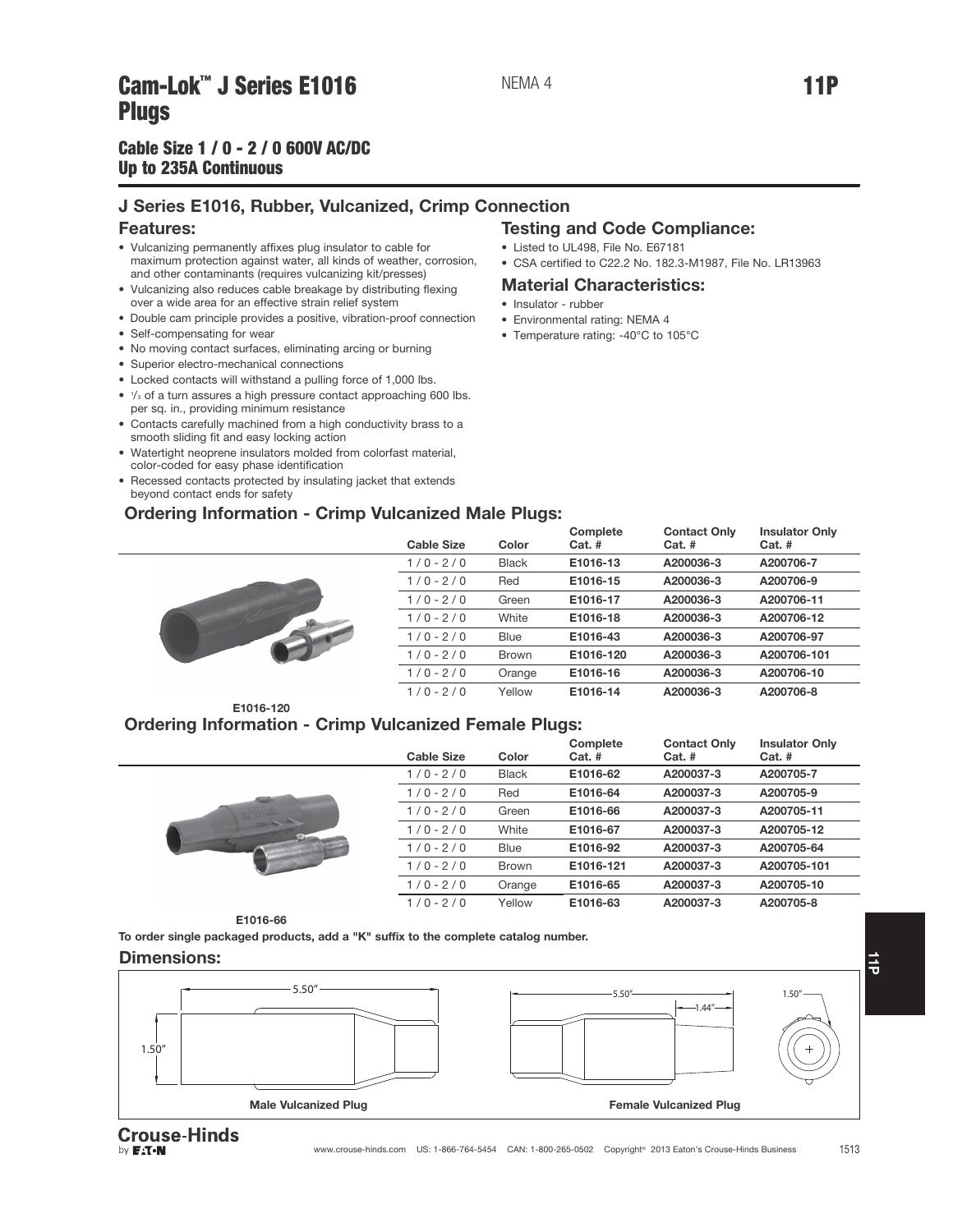# Cam-Lok J Series E1010 Members Present and the contract of the contract of the contract of the contract of the<br>Plings

## Cable Size  $1/0 - 2/0$  600V AC/DC Up to 235A Continuous Up to 235A Continuous

## J Series E1016, Rubber, Vulcanized, Crimp Connection

### Features:

- Vulcanizing permanently affixes plug insulator to cable for maximum protection against water, all kinds of weather, corrosion, and other contaminants (requires vulcanizing kit/presses)
- Vulcanizing also reduces cable breakage by distributing flexing over a wide area for an effective strain relief system
- Double cam principle provides a positive, vibration-proof connection
- Self-compensating for wear
- No moving contact surfaces, eliminating arcing or burning
- Superior electro-mechanical connections
- Locked contacts will withstand a pulling force of 1,000 lbs.
- $\frac{1}{3}$  of a turn assures a high pressure contact approaching 600 lbs. per sq. in., providing minimum resistance
- Contacts carefully machined from a high conductivity brass to a smooth sliding fit and easy locking action
- Watertight neoprene insulators molded from colorfast material, color-coded for easy phase identification
- Recessed contacts protected by insulating jacket that extends beyond contact ends for safety

## Ordering Information - Crimp Vulcanized Male Plugs:

## Testing and Code Compliance:

- Listed to UL498, File No. E67181
- CSA certified to C22.2 No. 182.3-M1987, File No. LR13963

## Material Characteristics:

- Insulator rubber
- Environmental rating: NEMA 4
- Temperature rating: -40°C to 105°C

| <b>Cable Size</b> | Color        | Complete<br>$Cat.$ # | <b>Contact Only</b><br>$Cat.$ # | <b>Insulator Only</b><br>$Cat.$ # |
|-------------------|--------------|----------------------|---------------------------------|-----------------------------------|
| $1/0 - 2/0$       | <b>Black</b> | E1016-13             | A200036-3                       | A200706-7                         |
| $1/0 - 2/0$       | Red          | E1016-15             | A200036-3                       | A200706-9                         |
| $1/0 - 2/0$       | Green        | E1016-17             | A200036-3                       | A200706-11                        |
| $1/0 - 2/0$       | White        | E1016-18             | A200036-3                       | A200706-12                        |
| $1/0 - 2/0$       | <b>Blue</b>  | E1016-43             | A200036-3                       | A200706-97                        |
| $1/0 - 2/0$       | <b>Brown</b> | E1016-120            | A200036-3                       | A200706-101                       |
| $1/0 - 2/0$       | Orange       | E1016-16             | A200036-3                       | A200706-10                        |
| $1/0 - 2/0$       | Yellow       | E1016-14             | A200036-3                       | A200706-8                         |
|                   |              |                      |                                 |                                   |

## E1016-120

## Ordering Information - Crimp Vulcanized Female Plugs:

|  | <b>Cable Size</b> | Color        | Complete<br>$Cat.$ # | <b>Contact Only</b><br>$Cat.$ # | <b>Insulator Only</b><br>$Cat.$ # |
|--|-------------------|--------------|----------------------|---------------------------------|-----------------------------------|
|  | $1/0 - 2/0$       | <b>Black</b> | E1016-62             | A200037-3                       | A200705-7                         |
|  | $1/0 - 2/0$       | Red          | E1016-64             | A200037-3                       | A200705-9                         |
|  | $1/0 - 2/0$       | Green        | E1016-66             | A200037-3                       | A200705-11                        |
|  | $1/0 - 2/0$       | White        | E1016-67             | A200037-3                       | A200705-12                        |
|  | $1/0 - 2/0$       | <b>Blue</b>  | E1016-92             | A200037-3                       | A200705-64                        |
|  | $1/0 - 2/0$       | <b>Brown</b> | E1016-121            | A200037-3                       | A200705-101                       |
|  | $1/0 - 2/0$       | Orange       | E1016-65             | A200037-3                       | A200705-10                        |
|  | $1/0 - 2/0$       | Yellow       | E1016-63             | A200037-3                       | A200705-8                         |

#### E1016-66

To order single packaged products, add a "K" suffix to the complete catalog number.

#### Dimensions:



**Crouse-Hinds** by **FAT.N**